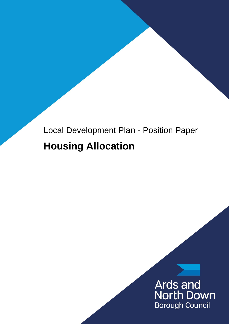## Local Development Plan - Position Paper **Housing Allocation**

# Ards and<br>North Down **Borough Council**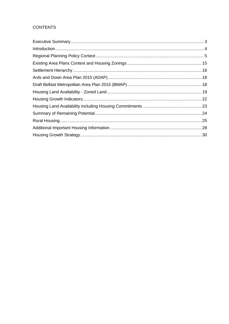#### **CONTENTS**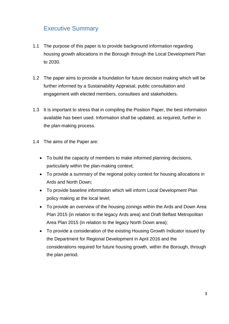## <span id="page-2-0"></span>Executive Summary

- 1.1 The purpose of this paper is to provide background information regarding housing growth allocations in the Borough through the Local Development Plan to 2030.
- 1.2 The paper aims to provide a foundation for future decision making which will be further informed by a Sustainability Appraisal, public consultation and engagement with elected members, consultees and stakeholders.
- 1.3 It is important to stress that in compiling the Position Paper, the best information available has been used. Information shall be updated, as required, further in the plan-making process.
- 1.4 The aims of the Paper are:
	- To build the capacity of members to make informed planning decisions, particularly within the plan-making context;
	- To provide a summary of the regional policy context for housing allocations in Ards and North Down;
	- To provide baseline information which will inform Local Development Plan policy making at the local level;
	- To provide an overview of the housing zonings within the Ards and Down Area Plan 2015 (in relation to the legacy Ards area) and Draft Belfast Metropolitan Area Plan 2015 (in relation to the legacy North Down area);
	- To provide a consideration of the existing Housing Growth Indicator issued by the Department for Regional Development in April 2016 and the considerations required for future housing growth, within the Borough, through the plan period.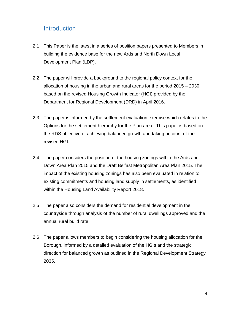### <span id="page-3-0"></span>**Introduction**

- 2.1 This Paper is the latest in a series of position papers presented to Members in building the evidence base for the new Ards and North Down Local Development Plan (LDP).
- 2.2 The paper will provide a background to the regional policy context for the allocation of housing in the urban and rural areas for the period 2015 – 2030 based on the revised Housing Growth Indicator (HGI) provided by the Department for Regional Development (DRD) in April 2016.
- 2.3 The paper is informed by the settlement evaluation exercise which relates to the Options for the settlement hierarchy for the Plan area. This paper is based on the RDS objective of achieving balanced growth and taking account of the revised HGI.
- 2.4 The paper considers the position of the housing zonings within the Ards and Down Area Plan 2015 and the Draft Belfast Metropolitan Area Plan 2015. The impact of the existing housing zonings has also been evaluated in relation to existing commitments and housing land supply in settlements, as identified within the Housing Land Availability Report 2018.
- 2.5 The paper also considers the demand for residential development in the countryside through analysis of the number of rural dwellings approved and the annual rural build rate.
- 2.6 The paper allows members to begin considering the housing allocation for the Borough, informed by a detailed evaluation of the HGIs and the strategic direction for balanced growth as outlined in the Regional Development Strategy 2035.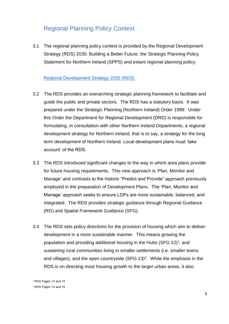## <span id="page-4-0"></span>Regional Planning Policy Context

3.1 The regional planning policy context is provided by the Regional Development Strategy (RDS) 2035: Building a Better Future; the Strategic Planning Policy Statement for Northern Ireland (SPPS) and extant regional planning policy.

#### [Regional Development Strategy 2035 \(RDS\)](https://www.planningni.gov.uk/index/policy/regional_dev_2035.htm)

- 3.2 The RDS provides an overarching strategic planning framework to facilitate and guide the public and private sectors. The RDS has a statutory basis. It was prepared under the Strategic Planning (Northern Ireland) Order 1999. Under this Order the Department for Regional Development (DRD) is responsible for formulating, in consultation with other Northern Ireland Departments, a regional development strategy for Northern Ireland, that is to say, a strategy for the long term development of Northern Ireland. Local development plans must 'take account' of the RDS.
- 3.3 The RDS introduced significant changes to the way in which area plans provide for future housing requirements. This new approach is 'Plan, Monitor and Manage' and contrasts to the historic "Predict and Provide" approach previously employed in the preparation of Development Plans. The 'Plan, Monitor and Manage' approach seeks to ensure LDPs are more sustainable, balanced, and integrated. The RDS provides strategic guidance through Regional Guidance (RG) and Spatial Framework Guidance (SFG).
- 3.4 The RDS sets policy directions for the provision of housing which aim to deliver development in a more sustainable manner. This means growing the population and providing additional housing in the Hubs (SFG 12)<sup>1</sup>, and sustaining rural communities living in smaller settlements (i.e. smaller towns and villages), and the open countryside (SPG 13)<sup>2</sup>. While the emphasis in the RDS is on directing most housing growth to the larger urban areas, it also

<sup>1</sup> RDS Pages 73 and 74

<sup>2</sup> RDS Pages 74 and 75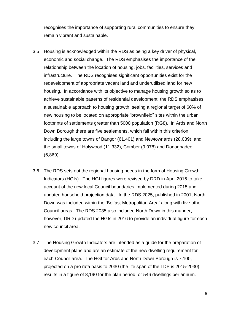recognises the importance of supporting rural communities to ensure they remain vibrant and sustainable.

- 3.5 Housing is acknowledged within the RDS as being a key driver of physical, economic and social change. The RDS emphasises the importance of the relationship between the location of housing, jobs, facilities, services and infrastructure. The RDS recognises significant opportunities exist for the redevelopment of appropriate vacant land and underutilised land for new housing. In accordance with its objective to manage housing growth so as to achieve sustainable patterns of residential development, the RDS emphasises a sustainable approach to housing growth, setting a regional target of 60% of new housing to be located on appropriate "brownfield" sites within the urban footprints of settlements greater than 5000 population (RG8). In Ards and North Down Borough there are five settlements, which fall within this criterion, including the large towns of Bangor (61,401) and Newtownards (28,039); and the small towns of Holywood (11,332), Comber (9,078) and Donaghadee (6,869).
- 3.6 The RDS sets out the regional housing needs in the form of Housing Growth Indicators (HGIs). The HGI figures were revised by DRD in April 2016 to take account of the new local Council boundaries implemented during 2015 and updated household projection data. In the RDS 2025, published in 2001, North Down was included within the 'Belfast Metropolitan Area' along with five other Council areas. The RDS 2035 also included North Down in this manner, however, DRD updated the HGIs in 2016 to provide an individual figure for each new council area.
- 3.7 The Housing Growth Indicators are intended as a guide for the preparation of development plans and are an estimate of the new dwelling requirement for each Council area. The HGI for Ards and North Down Borough is 7,100, projected on a pro rata basis to 2030 (the life span of the LDP is 2015-2030) results in a figure of 8,190 for the plan period, or 546 dwellings per annum.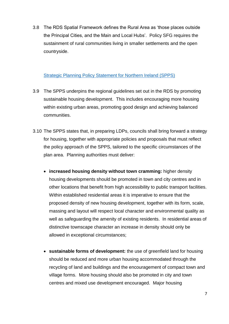3.8 The RDS Spatial Framework defines the Rural Area as 'those places outside the Principal Cities, and the Main and Local Hubs'. Policy SFG requires the sustainment of rural communities living in smaller settlements and the open countryside.

#### [Strategic Planning Policy Statement for Northern Ireland \(SPPS\)](https://www.planningni.gov.uk/index/policy/spps.htm)

- 3.9 The SPPS underpins the regional guidelines set out in the RDS by promoting sustainable housing development. This includes encouraging more housing within existing urban areas, promoting good design and achieving balanced communities.
- 3.10 The SPPS states that, in preparing LDPs, councils shall bring forward a strategy for housing, together with appropriate policies and proposals that must reflect the policy approach of the SPPS, tailored to the specific circumstances of the plan area. Planning authorities must deliver:
	- **increased housing density without town cramming:** higher density housing developments should be promoted in town and city centres and in other locations that benefit from high accessibility to public transport facilities. Within established residential areas it is imperative to ensure that the proposed density of new housing development, together with its form, scale, massing and layout will respect local character and environmental quality as well as safeguarding the amenity of existing residents. In residential areas of distinctive townscape character an increase in density should only be allowed in exceptional circumstances;
	- **sustainable forms of development:** the use of greenfield land for housing should be reduced and more urban housing accommodated through the recycling of land and buildings and the encouragement of compact town and village forms. More housing should also be promoted in city and town centres and mixed use development encouraged. Major housing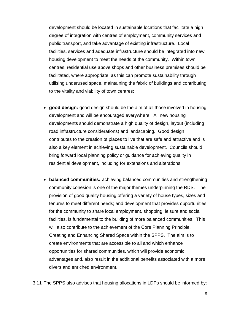development should be located in sustainable locations that facilitate a high degree of integration with centres of employment, community services and public transport, and take advantage of existing infrastructure. Local facilities, services and adequate infrastructure should be integrated into new housing development to meet the needs of the community. Within town centres, residential use above shops and other business premises should be facilitated, where appropriate, as this can promote sustainability through utilising underused space, maintaining the fabric of buildings and contributing to the vitality and viability of town centres;

- **good design:** good design should be the aim of all those involved in housing development and will be encouraged everywhere. All new housing developments should demonstrate a high quality of design, layout (including road infrastructure considerations) and landscaping. Good design contributes to the creation of places to live that are safe and attractive and is also a key element in achieving sustainable development. Councils should bring forward local planning policy or guidance for achieving quality in residential development, including for extensions and alterations;
- **balanced communities:** achieving balanced communities and strengthening community cohesion is one of the major themes underpinning the RDS. The provision of good quality housing offering a variety of house types, sizes and tenures to meet different needs; and development that provides opportunities for the community to share local employment, shopping, leisure and social facilities, is fundamental to the building of more balanced communities. This will also contribute to the achievement of the Core Planning Principle, Creating and Enhancing Shared Space within the SPPS. The aim is to create environments that are accessible to all and which enhance opportunities for shared communities, which will provide economic advantages and, also result in the additional benefits associated with a more divers and enriched environment.

3.11 The SPPS also advises that housing allocations in LDPs should be informed by: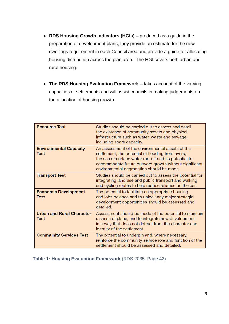- **RDS Housing Growth Indicators (HGIs) –** produced as a guide in the preparation of development plans, they provide an estimate for the new dwellings requirement in each Council area and provide a guide for allocating housing distribution across the plan area. The HGI covers both urban and rural housing.
- **The RDS Housing Evaluation Framework –** takes account of the varying capacities of settlements and will assist councils in making judgements on the allocation of housing growth.

| <b>Resource Test</b>                     | Studies should be carried out to assess and detail<br>the existence of community assets and physical<br>infrastructure such as water, waste and sewage,<br>including spare capacity.                                                                                  |
|------------------------------------------|-----------------------------------------------------------------------------------------------------------------------------------------------------------------------------------------------------------------------------------------------------------------------|
| <b>Environmental Capacity</b><br>Test    | An assessment of the environmental assets of the<br>settlement, the potential of flooding from rivers,<br>the sea or surface water run-off and its potential to<br>accommodate future outward growth without significant<br>environmental degradation should be made. |
| <b>Transport Test</b>                    | Studies should be carried out to assess the potential for<br>integrating land use and public transport and walking<br>and cycling routes to help reduce reliance on the car.                                                                                          |
| <b>Economic Development</b><br>Test      | The potential to facilitate an appropriate housing<br>and jobs balance and to unlock any major strategic<br>development opportunities should be assessed and<br>detailed.                                                                                             |
| <b>Urban and Rural Character</b><br>Test | Assessment should be made of the potential to maintain<br>a sense of place, and to integrate new development<br>in a way that does not detract from the character and<br>identity of the settlement.                                                                  |
| <b>Community Services Test</b>           | The potential to underpin and, where necessary,<br>reinforce the community service role and function of the<br>settlement should be assessed and detailed.                                                                                                            |

**Table 1: Housing Evaluation Framework** (RDS 2035: Page 42)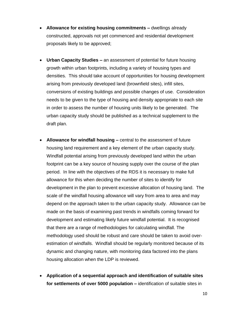- **Allowance for existing housing commitments –** dwellings already constructed, approvals not yet commenced and residential development proposals likely to be approved;
- **Urban Capacity Studies –** an assessment of potential for future housing growth within urban footprints, including a variety of housing types and densities. This should take account of opportunities for housing development arising from previously developed land (brownfield sites), infill sites, conversions of existing buildings and possible changes of use. Consideration needs to be given to the type of housing and density appropriate to each site in order to assess the number of housing units likely to be generated. The urban capacity study should be published as a technical supplement to the draft plan.
- **Allowance for windfall housing –** central to the assessment of future housing land requirement and a key element of the urban capacity study. Windfall potential arising from previously developed land within the urban footprint can be a key source of housing supply over the course of the plan period. In line with the objectives of the RDS it is necessary to make full allowance for this when deciding the number of sites to identify for development in the plan to prevent excessive allocation of housing land. The scale of the windfall housing allowance will vary from area to area and may depend on the approach taken to the urban capacity study. Allowance can be made on the basis of examining past trends in windfalls coming forward for development and estimating likely future windfall potential. It is recognised that there are a range of methodologies for calculating windfall. The methodology used should be robust and care should be taken to avoid overestimation of windfalls. Windfall should be regularly monitored because of its dynamic and changing nature, with monitoring data factored into the plans housing allocation when the LDP is reviewed.
- **Application of a sequential approach and identification of suitable sites for settlements of over 5000 population –** identification of suitable sites in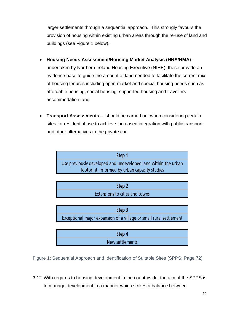larger settlements through a sequential approach. This strongly favours the provision of housing within existing urban areas through the re-use of land and buildings (see Figure 1 below).

- **Housing Needs Assessment/Housing Market Analysis (HNA/HMA) –** undertaken by Northern Ireland Housing Executive (NIHE), these provide an evidence base to guide the amount of land needed to facilitate the correct mix of housing tenures including open market and special housing needs such as affordable housing, social housing, supported housing and travellers accommodation; and
- **Transport Assessments –** should be carried out when considering certain sites for residential use to achieve increased integration with public transport and other alternatives to the private car.

| Step 1                                                         |
|----------------------------------------------------------------|
| Use previously developed and undeveloped land within the urban |
| footprint, informed by urban capacity studies                  |

| Step 2                         |  |
|--------------------------------|--|
| Extensions to cities and towns |  |

Step 3 Exceptional major expansion of a village or small rural settlement

| Step 4          |  |
|-----------------|--|
| New settlements |  |

Figure 1: Sequential Approach and Identification of Suitable Sites (SPPS: Page 72)

3.12 With regards to housing development in the countryside, the aim of the SPPS is to manage development in a manner which strikes a balance between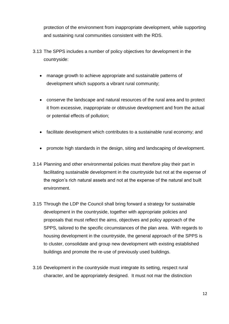protection of the environment from inappropriate development, while supporting and sustaining rural communities consistent with the RDS.

- 3.13 The SPPS includes a number of policy objectives for development in the countryside:
	- manage growth to achieve appropriate and sustainable patterns of development which supports a vibrant rural community;
	- conserve the landscape and natural resources of the rural area and to protect it from excessive, inappropriate or obtrusive development and from the actual or potential effects of pollution;
	- facilitate development which contributes to a sustainable rural economy; and
	- promote high standards in the design, siting and landscaping of development.
- 3.14 Planning and other environmental policies must therefore play their part in facilitating sustainable development in the countryside but not at the expense of the region's rich natural assets and not at the expense of the natural and built environment.
- 3.15 Through the LDP the Council shall bring forward a strategy for sustainable development in the countryside, together with appropriate policies and proposals that must reflect the aims, objectives and policy approach of the SPPS, tailored to the specific circumstances of the plan area. With regards to housing development in the countryside, the general approach of the SPPS is to cluster, consolidate and group new development with existing established buildings and promote the re-use of previously used buildings.
- 3.16 Development in the countryside must integrate its setting, respect rural character, and be appropriately designed. It must not mar the distinction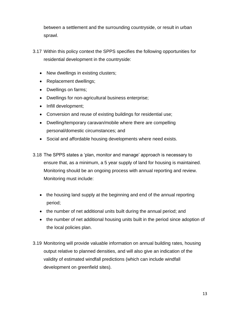between a settlement and the surrounding countryside, or result in urban sprawl.

- 3.17 Within this policy context the SPPS specifies the following opportunities for residential development in the countryside:
	- New dwellings in existing clusters;
	- Replacement dwellings;
	- Dwellings on farms;
	- Dwellings for non-agricultural business enterprise;
	- Infill development;
	- Conversion and reuse of existing buildings for residential use;
	- Dwelling/temporary caravan/mobile where there are compelling personal/domestic circumstances; and
	- Social and affordable housing developments where need exists.
- 3.18 The SPPS states a 'plan, monitor and manage' approach is necessary to ensure that, as a minimum, a 5 year supply of land for housing is maintained. Monitoring should be an ongoing process with annual reporting and review. Monitoring must include:
	- the housing land supply at the beginning and end of the annual reporting period;
	- the number of net additional units built during the annual period; and
	- the number of net additional housing units built in the period since adoption of the local policies plan.
- 3.19 Monitoring will provide valuable information on annual building rates, housing output relative to planned densities, and will also give an indication of the validity of estimated windfall predictions (which can include windfall development on greenfield sites).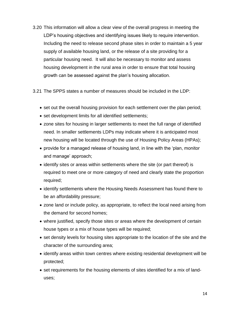3.20 This information will allow a clear view of the overall progress in meeting the LDP's housing objectives and identifying issues likely to require intervention. Including the need to release second phase sites in order to maintain a 5 year supply of available housing land, or the release of a site providing for a particular housing need. It will also be necessary to monitor and assess housing development in the rural area in order to ensure that total housing growth can be assessed against the plan's housing allocation.

3.21 The SPPS states a number of measures should be included in the LDP:

- set out the overall housing provision for each settlement over the plan period;
- set development limits for all identified settlements;
- zone sites for housing in larger settlements to meet the full range of identified need. In smaller settlements LDPs may indicate where it is anticipated most new housing will be located through the use of Housing Policy Areas (HPAs);
- provide for a managed release of housing land, in line with the 'plan, monitor and manage' approach;
- identify sites or areas within settlements where the site (or part thereof) is required to meet one or more category of need and clearly state the proportion required;
- identify settlements where the Housing Needs Assessment has found there to be an affordability pressure;
- zone land or include policy, as appropriate, to reflect the local need arising from the demand for second homes;
- where justified, specify those sites or areas where the development of certain house types or a mix of house types will be required;
- set density levels for housing sites appropriate to the location of the site and the character of the surrounding area;
- identify areas within town centres where existing residential development will be protected;
- set requirements for the housing elements of sites identified for a mix of landuses;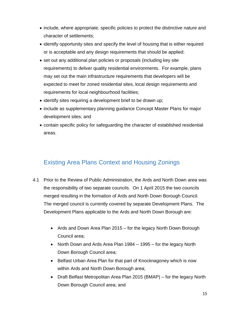- include, where appropriate, specific policies to protect the distinctive nature and character of settlements;
- identify opportunity sites and specify the level of housing that is either required or is acceptable and any design requirements that should be applied;
- set out any additional plan policies or proposals (including key site requirements) to deliver quality residential environments. For example, plans may set out the main infrastructure requirements that developers will be expected to meet for zoned residential sites, local design requirements and requirements for local neighbourhood facilities;
- identify sites requiring a development brief to be drawn up;
- include as supplementary planning guidance Concept Master Plans for major development sites; and
- contain specific policy for safeguarding the character of established residential areas.

## <span id="page-14-0"></span>Existing Area Plans Context and Housing Zonings

- 4.1 Prior to the Review of Public Administration, the Ards and North Down area was the responsibility of two separate councils. On 1 April 2015 the two councils merged resulting in the formation of Ards and North Down Borough Council. The merged council is currently covered by separate Development Plans. The Development Plans applicable to the Ards and North Down Borough are:
	- Ards and Down Area Plan 2015 for the legacy North Down Borough Council area;
	- North Down and Ards Area Plan 1984 1995 for the legacy North Down Borough Council area;
	- Belfast Urban Area Plan for that part of Knocknagoney which is now within Ards and North Down Borough area;
	- Draft Belfast Metropolitan Area Plan 2015 (BMAP) for the legacy North Down Borough Council area; and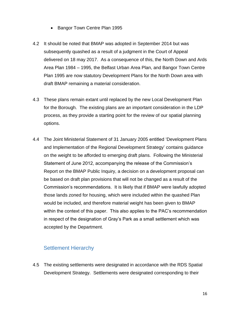- Bangor Town Centre Plan 1995
- 4.2 It should be noted that BMAP was adopted in September 2014 but was subsequently quashed as a result of a judgment in the Court of Appeal delivered on 18 may 2017. As a consequence of this, the North Down and Ards Area Plan 1984 – 1995, the Belfast Urban Area Plan, and Bangor Town Centre Plan 1995 are now statutory Development Plans for the North Down area with draft BMAP remaining a material consideration.
- 4.3 These plans remain extant until replaced by the new Local Development Plan for the Borough. The existing plans are an important consideration in the LDP process, as they provide a starting point for the review of our spatial planning options.
- 4.4 The Joint Ministerial Statement of 31 January 2005 entitled 'Development Plans and Implementation of the Regional Development Strategy' contains guidance on the weight to be afforded to emerging draft plans. Following the Ministerial Statement of June 2012, accompanying the release of the Commission's Report on the BMAP Public Inquiry, a decision on a development proposal can be based on draft plan provisions that will not be changed as a result of the Commission's recommendations. It is likely that if BMAP were lawfully adopted those lands zoned for housing, which were included within the quashed Plan would be included, and therefore material weight has been given to BMAP within the context of this paper. This also applies to the PAC's recommendation in respect of the designation of Gray's Park as a small settlement which was accepted by the Department.

#### <span id="page-15-0"></span>Settlement Hierarchy

4.5 The existing settlements were designated in accordance with the RDS Spatial Development Strategy. Settlements were designated corresponding to their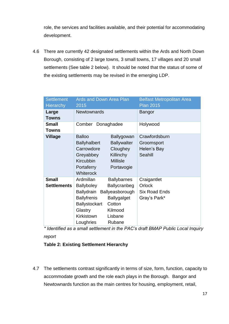role, the services and facilities available, and their potential for accommodating development.

4.6 There are currently 42 designated settlements within the Ards and North Down Borough, consisting of 2 large towns, 3 small towns, 17 villages and 20 small settlements (See table 2 below). It should be noted that the status of some of the existing settlements may be revised in the emerging LDP.

| <b>Settlement</b><br><b>Hierarchy</b> | Ards and Down Area Plan<br>2015                                                                                                  |                                                                                                                       | <b>Belfast Metropolitan Area</b><br><b>Plan 2015</b>                 |
|---------------------------------------|----------------------------------------------------------------------------------------------------------------------------------|-----------------------------------------------------------------------------------------------------------------------|----------------------------------------------------------------------|
| Large<br><b>Towns</b>                 | <b>Newtownards</b>                                                                                                               |                                                                                                                       | Bangor                                                               |
| <b>Small</b><br><b>Towns</b>          | Comber<br>Donaghadee                                                                                                             |                                                                                                                       | Holywood                                                             |
| <b>Village</b>                        | <b>Balloo</b><br><b>Ballyhalbert</b><br>Carrowdore<br>Greyabbey<br>Kircubbin<br>Portaferry<br><b>Whiterock</b>                   | Ballygowan<br><b>Ballywalter</b><br>Cloughey<br><b>Killinchy</b><br><b>Millisle</b><br>Portavogie                     | Crawfordsburn<br>Groomsport<br>Helen's Bay<br>Seahill                |
| <b>Small</b><br><b>Settlements</b>    | Ardmillan<br><b>Ballyboley</b><br>Ballydrain<br><b>Ballyfrenis</b><br><b>Ballystockart</b><br>Glastry<br>Kirkistown<br>Loughries | <b>Ballybarnes</b><br>Ballycranbeg<br>Ballyeasborough<br><b>Ballygalget</b><br>Cotton<br>Kilmood<br>Lisbane<br>Rubane | Craigantlet<br><b>Orlock</b><br><b>Six Road Ends</b><br>Gray's Park* |

*\* Identified as a small settlement in the PAC's draft BMAP Public Local Inquiry report*

#### **Table 2: Existing Settlement Hierarchy**

4.7 The settlements contrast significantly in terms of size, form, function, capacity to accommodate growth and the role each plays in the Borough. Bangor and Newtownards function as the main centres for housing, employment, retail,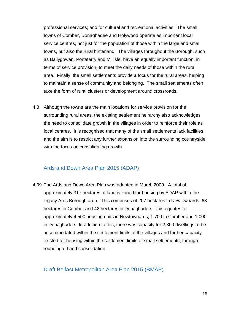professional services; and for cultural and recreational activities. The small towns of Comber, Donaghadee and Holywood operate as important local service centres, not just for the population of those within the large and small towns, but also the rural hinterland. The villages throughout the Borough, such as Ballygowan, Portaferry and Millisle, have an equally important function, in terms of service provision, to meet the daily needs of those within the rural area. Finally, the small settlements provide a focus for the rural areas, helping to maintain a sense of community and belonging. The small settlements often take the form of rural clusters or development around crossroads.

4.8 Although the towns are the main locations for service provision for the surrounding rural areas, the existing settlement heirarchy also acknowledges the need to consolidate growth in the villages in order to reinforce their role as local centres. It is recognised that many of the small settlements lack facilities and the aim is to restrict any further expansion into the surrounding countryside, with the focus on consolidating growth.

#### <span id="page-17-0"></span>Ards and Down Area Plan 2015 (ADAP)

4.09 The Ards and Down Area Plan was adopted in March 2009. A total of approximately 317 hectares of land is zoned for housing by ADAP within the legacy Ards Borough area. This comprises of 207 hectares in Newtownards, 68 hectares in Comber and 42 hectares in Donaghadee. This equates to approximately 4,500 housing units in Newtownards, 1,700 in Comber and 1,000 in Donaghadee. In addition to this, there was capacity for 2,300 dwellings to be accommodated within the settlement limits of the villages and further capacity existed for housing within the settlement limits of small settlements, through rounding off and consolidation.

#### <span id="page-17-1"></span>Draft Belfast Metropolitan Area Plan 2015 (BMAP)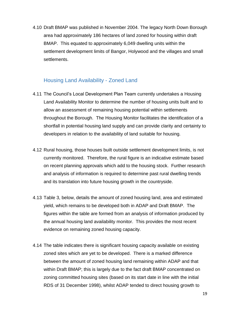4.10 Draft BMAP was published in November 2004. The legacy North Down Borough area had approximately 186 hectares of land zoned for housing within draft BMAP. This equated to approximately 6,049 dwelling units within the settlement development limits of Bangor, Holywood and the villages and small settlements.

#### <span id="page-18-0"></span>Housing Land Availability - Zoned Land

- 4.11 The Council's Local Development Plan Team currently undertakes a Housing Land Availability Monitor to determine the number of housing units built and to allow an assessment of remaining housing potential within settlements throughout the Borough. The Housing Monitor facilitates the identification of a shortfall in potential housing land supply and can provide clarity and certainty to developers in relation to the availability of land suitable for housing.
- 4.12 Rural housing, those houses built outside settlement development limits, is not currently monitored. Therefore, the rural figure is an indicative estimate based on recent planning approvals which add to the housing stock. Further research and analysis of information is required to determine past rural dwelling trends and its translation into future housing growth in the countryside.
- 4.13 Table 3, below, details the amount of zoned housing land, area and estimated yield, which remains to be developed both in ADAP and Draft BMAP. The figures within the table are formed from an analysis of information produced by the annual housing land availability monitor. This provides the most recent evidence on remaining zoned housing capacity.
- 4.14 The table indicates there is significant housing capacity available on existing zoned sites which are yet to be developed. There is a marked difference between the amount of zoned housing land remaining within ADAP and that within Draft BMAP; this is largely due to the fact draft BMAP concentrated on zoning committed housing sites (based on its start date in line with the initial RDS of 31 December 1998), whilst ADAP tended to direct housing growth to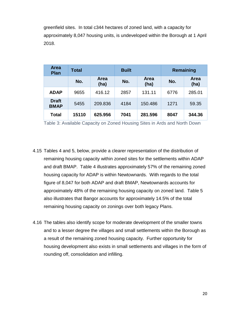greenfield sites. In total c344 hectares of zoned land, with a capacity for approximately 8,047 housing units, is undeveloped within the Borough at 1 April 2018.

| <b>Area</b><br><b>Plan</b>  | Total |              | <b>Built</b> |                     |      | Remaining           |
|-----------------------------|-------|--------------|--------------|---------------------|------|---------------------|
|                             | No.   | Area<br>(ha) | No.          | <b>Area</b><br>(ha) | No.  | <b>Area</b><br>(ha) |
| <b>ADAP</b>                 | 9655  | 416.12       | 2857         | 131.11              | 6776 | 285.01              |
| <b>Draft</b><br><b>BMAP</b> | 5455  | 209.836      | 4184         | 150.486             | 1271 | 59.35               |
| <b>Total</b>                | 15110 | 625.956      | 7041         | 281.596             | 8047 | 344.36              |

Table 3: Available Capacity on Zoned Housing Sites in Ards and North Down

- 4.15 Tables 4 and 5, below, provide a clearer representation of the distribution of remaining housing capacity within zoned sites for the settlements within ADAP and draft BMAP. Table 4 illustrates approximately 57% of the remaining zoned housing capacity for ADAP is within Newtownards. With regards to the total figure of 8,047 for both ADAP and draft BMAP, Newtownards accounts for approximately 48% of the remaining housing capacity on zoned land. Table 5 also illustrates that Bangor accounts for approximately 14.5% of the total remaining housing capacity on zonings over both legacy Plans.
- 4.16 The tables also identify scope for moderate development of the smaller towns and to a lesser degree the villages and small settlements within the Borough as a result of the remaining zoned housing capacity. Further opportunity for housing development also exists in small settlements and villages in the form of rounding off, consolidation and infilling.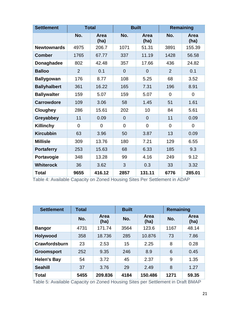| <b>Settlement</b>   | <b>Total</b>   |                     | <b>Built</b>   |                | <b>Remaining</b> |                     |
|---------------------|----------------|---------------------|----------------|----------------|------------------|---------------------|
|                     | No.            | <b>Area</b><br>(ha) | No.            | Area<br>(ha)   | No.              | <b>Area</b><br>(ha) |
| <b>Newtownards</b>  | 4975           | 206.7               | 1071           | 51.31          | 3891             | 155.39              |
| <b>Comber</b>       | 1765           | 67.77               | 337            | 11.19          | 1428             | 56.58               |
| <b>Donaghadee</b>   | 802            | 42.48               | 357            | 17.66          | 436              | 24.82               |
| <b>Balloo</b>       | $\overline{2}$ | 0.1                 | $\overline{0}$ | $\overline{0}$ | 2                | 0.1                 |
| <b>Ballygowan</b>   | 176            | 8.77                | 108            | 5.25           | 68               | 3.52                |
| <b>Ballyhalbert</b> | 361            | 16.22               | 165            | 7.31           | 196              | 8.91                |
| <b>Ballywalter</b>  | 159            | 5.07                | 159            | 5.07           | $\overline{0}$   | $\overline{0}$      |
| <b>Carrowdore</b>   | 109            | 3.06                | 58             | 1.45           | 51               | 1.61                |
| <b>Cloughey</b>     | 286            | 15.61               | 202            | 10             | 84               | 5.61                |
| Greyabbey           | 11             | 0.09                | $\overline{0}$ | $\overline{0}$ | 11               | 0.09                |
| <b>Killinchy</b>    | $\mathbf 0$    | $\mathbf 0$         | $\overline{0}$ | $\mathbf 0$    | $\overline{0}$   | $\mathbf 0$         |
| <b>Kircubbin</b>    | 63             | 3.96                | 50             | 3.87           | 13               | 0.09                |
| <b>Millisle</b>     | 309            | 13.76               | 180            | 7.21           | 129              | 6.55                |
| <b>Portaferry</b>   | 253            | 15.63               | 68             | 6.33           | 185              | 9.3                 |
| Portavogie          | 348            | 13.28               | 99             | 4.16           | 249              | 9.12                |
| <b>Whiterock</b>    | 36             | 3.62                | 3              | 0.3            | 33               | 3.32                |
| <b>Total</b>        | 9655           | 416.12              | 2857           | 131.11         | 6776             | 285.01              |

Table 4: Available Capacity on Zoned Housing Sites Per Settlement in ADAP

| <b>Settlement</b>  | Total |                     | <b>Built</b> |              | Remaining |              |
|--------------------|-------|---------------------|--------------|--------------|-----------|--------------|
|                    | No.   | <b>Area</b><br>(ha) | No.          | Area<br>(ha) | No.       | Area<br>(ha) |
| <b>Bangor</b>      | 4731  | 171.74              | 3564         | 123.6        | 1167      | 48.14        |
| <b>Holywood</b>    | 358   | 18.736              | 285          | 10.876       | 73        | 7.86         |
| Crawfordsburn      | 23    | 2.53                | 15           | 2.25         | 8         | 0.28         |
| <b>Groomsport</b>  | 252   | 9.35                | 246          | 8.9          | 6         | 0.45         |
| <b>Helen's Bay</b> | 54    | 3.72                | 45           | 2.37         | 9         | 1.35         |
| <b>Seahill</b>     | 37    | 3.76                | 29           | 2.49         | 8         | 1.27         |
| Total              | 5455  | 209.836             | 4184         | 150,486      | 1271      | 59.35        |

Table 5: Available Capacity on Zoned Housing Sites per Settlement in Draft BMAP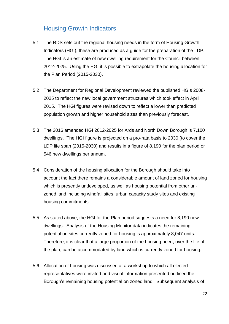## <span id="page-21-0"></span>Housing Growth Indicators

- 5.1 The RDS sets out the regional housing needs in the form of Housing Growth Indicators (HGI), these are produced as a guide for the preparation of the LDP. The HGI is an estimate of new dwelling requirement for the Council between 2012-2025. Using the HGI it is possible to extrapolate the housing allocation for the Plan Period (2015-2030).
- 5.2 The Department for Regional Development reviewed the published HGIs 2008- 2025 to reflect the new local government structures which took effect in April 2015. The HGI figures were revised down to reflect a lower than predicted population growth and higher household sizes than previously forecast.
- 5.3 The 2016 amended HGI 2012-2025 for Ards and North Down Borough is 7,100 dwellings. The HGI figure is projected on a pro-rata basis to 2030 (to cover the LDP life span (2015-2030) and results in a figure of 8,190 for the plan period or 546 new dwellings per annum.
- 5.4 Consideration of the housing allocation for the Borough should take into account the fact there remains a considerable amount of land zoned for housing which is presently undeveloped, as well as housing potential from other unzoned land including windfall sites, urban capacity study sites and existing housing commitments.
- 5.5 As stated above, the HGI for the Plan period suggests a need for 8,190 new dwellings. Analysis of the Housing Monitor data indicates the remaining potential on sites currently zoned for housing is approximately 8,047 units. Therefore, it is clear that a large proportion of the housing need, over the life of the plan, can be accommodated by land which is currently zoned for housing.
- 5.6 Allocation of housing was discussed at a workshop to which all elected representatives were invited and visual information presented outlined the Borough's remaining housing potential on zoned land. Subsequent analysis of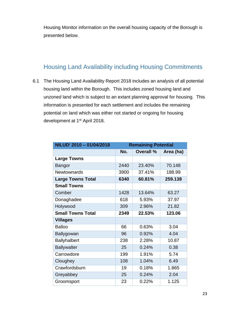Housing Monitor information on the overall housing capacity of the Borough is presented below.

## <span id="page-22-0"></span>Housing Land Availability including Housing Commitments

6.1 The Housing Land Availability Report 2018 includes an analysis of all potential housing land within the Borough. This includes zoned housing land and unzoned land which is subject to an extant planning approval for housing. This information is presented for each settlement and includes the remaining potential on land which was either not started or ongoing for housing development at 1<sup>st</sup> April 2018.

| NILUD <sup>i</sup> 2010 - 01/04/2018 | <b>Remaining Potential</b> |                  |           |  |  |
|--------------------------------------|----------------------------|------------------|-----------|--|--|
|                                      | No.                        | <b>Overall %</b> | Area (ha) |  |  |
| <b>Large Towns</b>                   |                            |                  |           |  |  |
| Bangor                               | 2440                       | 23.40%           | 70.148    |  |  |
| <b>Newtownards</b>                   | 3900                       | 37.41%           | 188.99    |  |  |
| <b>Large Towns Total</b>             | 6340                       | 60.81%           | 259.138   |  |  |
| <b>Small Towns</b>                   |                            |                  |           |  |  |
| Comber                               | 1428                       | 13.64%           | 63.27     |  |  |
| Donaghadee                           | 618                        | 5.93%            | 37.97     |  |  |
| Holywood                             | 309                        | 2.96%            | 21.82     |  |  |
| <b>Small Towns Total</b>             | 2349                       | 22.53%           | 123.06    |  |  |
| <b>Villages</b>                      |                            |                  |           |  |  |
| <b>Balloo</b>                        | 66                         | 0.63%            | 3.04      |  |  |
| Ballygowan                           | 96                         | 0.92%            | 4.04      |  |  |
| <b>Ballyhalbert</b>                  | 238                        | 2.28%            | 10.87     |  |  |
| <b>Ballywalter</b>                   | 25                         | 0.24%            | 0.38      |  |  |
| Carrowdore                           | 199                        | 1.91%            | 5.74      |  |  |
| Cloughey                             | 108                        | 1.04%            | 6.49      |  |  |
| Crawfordsburn                        | 19                         | 0.18%            | 1.865     |  |  |
| Greyabbey                            | 25                         | 0.24%            | 2.04      |  |  |
| Groomsport                           | 23                         | 0.22%            | 1.125     |  |  |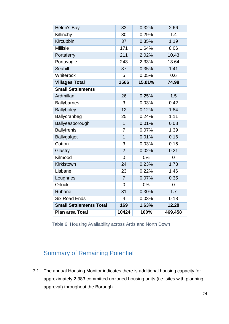| Helen's Bay                    | 33             | 0.32%  | 2.66           |
|--------------------------------|----------------|--------|----------------|
| Killinchy                      | 30             | 0.29%  | 1.4            |
| Kircubbin                      | 37             | 0.35%  | 1.19           |
| <b>Millisle</b>                | 171            | 1.64%  | 8.06           |
| Portaferry                     | 211            | 2.02%  | 10.43          |
| Portavogie                     | 243            | 2.33%  | 13.64          |
| <b>Seahill</b>                 | 37             | 0.35%  | 1.41           |
| Whiterock                      | 5              | 0.05%  | 0.6            |
| <b>Villages Total</b>          | 1566           | 15.01% | 74.98          |
| <b>Small Settlements</b>       |                |        |                |
| Ardmillan                      | 26             | 0.25%  | 1.5            |
| <b>Ballybarnes</b>             | 3              | 0.03%  | 0.42           |
| <b>Ballyboley</b>              | 12             | 0.12%  | 1.84           |
| Ballycranbeg                   | 25             | 0.24%  | 1.11           |
| Ballyeasborough                | $\overline{1}$ | 0.01%  | 0.08           |
| <b>Ballyfrenis</b>             | 7              | 0.07%  | 1.39           |
| <b>Ballygalget</b>             | $\overline{1}$ | 0.01%  | 0.16           |
| Cotton                         | 3              | 0.03%  | 0.15           |
| Glastry                        | $\overline{2}$ | 0.02%  | 0.21           |
| Kilmood                        | $\overline{0}$ | 0%     | 0              |
| Kirkistown                     | 24             | 0.23%  | 1.73           |
| Lisbane                        | 23             | 0.22%  | 1.46           |
| Loughries                      | $\overline{7}$ | 0.07%  | 0.35           |
| Orlock                         | $\overline{0}$ | 0%     | $\overline{0}$ |
| Rubane                         | 31             | 0.30%  | 1.7            |
| <b>Six Road Ends</b>           | $\overline{4}$ | 0.03%  | 0.18           |
| <b>Small Settlements Total</b> | 169            | 1.63%  | 12.28          |
| <b>Plan area Total</b>         | 10424          | 100%   | 469.458        |

Table 6: Housing Availability across Ards and North Down

## <span id="page-23-0"></span>Summary of Remaining Potential

7.1 The annual Housing Monitor indicates there is additional housing capacity for approximately 2,383 committed unzoned housing units (i.e. sites with planning approval) throughout the Borough.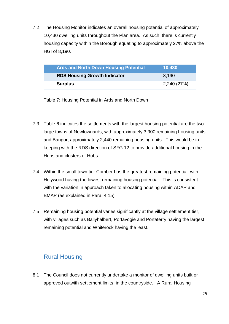7.2 The Housing Monitor indicates an overall housing potential of approximately 10,430 dwelling units throughout the Plan area. As such, there is currently housing capacity within the Borough equating to approximately 27% above the HGI of 8,190.

| <b>Ards and North Down Housing Potential</b> | 10,430      |
|----------------------------------------------|-------------|
| <b>RDS Housing Growth Indicator</b>          | 8.190       |
| <b>Surplus</b>                               | 2,240 (27%) |

Table 7: Housing Potential in Ards and North Down

- 7.3 Table 6 indicates the settlements with the largest housing potential are the two large towns of Newtownards, with approximately 3,900 remaining housing units, and Bangor, approximately 2,440 remaining housing units. This would be inkeeping with the RDS direction of SFG 12 to provide additional housing in the Hubs and clusters of Hubs.
- 7.4 Within the small town tier Comber has the greatest remaining potential, with Holywood having the lowest remaining housing potential. This is consistent with the variation in approach taken to allocating housing within ADAP and BMAP (as explained in Para. 4.15).
- 7.5 Remaining housing potential varies significantly at the village settlement tier, with villages such as Ballyhalbert, Portavogie and Portaferry having the largest remaining potential and Whiterock having the least.

## <span id="page-24-0"></span>Rural Housing

8.1 The Council does not currently undertake a monitor of dwelling units built or approved outwith settlement limits, in the countryside. A Rural Housing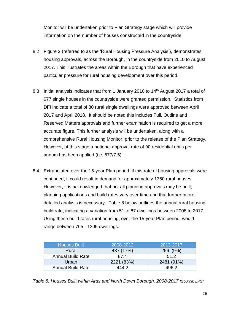Monitor will be undertaken prior to Plan Strategy stage which will provide information on the number of houses constructed in the countryside.

- 8.2 Figure 2 (referred to as the 'Rural Housing Pressure Analysis'), demonstrates housing approvals, across the Borough, in the countryside from 2010 to August 2017. This illustrates the areas within the Borough that have experienced particular pressure for rural housing development over this period.
- 8.3 Initial analysis indicates that from 1 January 2010 to 14<sup>th</sup> August 2017 a total of 677 single houses in the countryside were granted permission. Statistics from DFI indicate a total of 80 rural single dwellings were approved between April 2017 and April 2018. It should be noted this includes Full, Outline and Reserved Matters approvals and further examination is required to get a more accurate figure. This further analysis will be undertaken, along with a comprehensive Rural Housing Monitor, prior to the release of the Plan Strategy. However, at this stage a notional approval rate of 90 residential units per annum has been applied (i.e. 677/7.5).
- 8.4 Extrapolated over the 15-year Plan period, if this rate of housing approvals were continued, it could result in demand for approximately 1350 rural houses. However, it is acknowledged that not all planning approvals may be built; planning applications and build rates vary over time and that further, more detailed analysis is necessary. Table 8 below outlines the annual rural housing build rate, indicating a variation from 51 to 87 dwellings between 2008 to 2017. Using these build rates rural housing, over the 15-year Plan period, would range between 765 - 1305 dwellings.

| <b>Houses Built</b>      | 2008-2012  | 2013-2017  |
|--------------------------|------------|------------|
| Rural                    | 437 (17%)  | 256 (9%)   |
| <b>Annual Build Rate</b> | 87.4       | 51.2       |
| Urban                    | 2221 (83%) | 2481 (91%) |
| <b>Annual Build Rate</b> | 444.2      | 496 2      |

*Table 8: Houses Built within Ards and North Down Borough, 2008-2017 [Source: LPS]*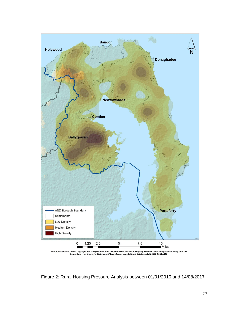

Figure 2: Rural Housing Pressure Analysis between 01/01/2010 and 14/08/2017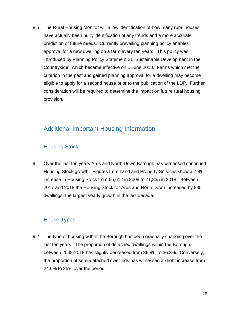8.5 The Rural Housing Monitor will allow identification of how many rural houses have actually been built, identification of any trends and a more accurate prediction of future needs. Currently prevailing planning policy enables approval for a new dwelling on a farm every ten years. This policy was introduced by Planning Policy Statement 21 'Sustainable Development in the Countryside', which became effective on 1 June 2010. Farms which met the criterion in the past and gained planning approval for a dwelling may become eligible to apply for a second house prior to the publication of the LDP. Further consideration will be required to determine the impact on future rural housing provision.

## <span id="page-27-0"></span>Additional Important Housing Information

#### Housing Stock

9.1 Over the last ten years Ards and North Down Borough has witnessed continued Housing Stock growth. Figures from Land and Property Services show a 7.8% increase in Housing Stock from 66,612 in 2008 to 71,835 in 2018. Between 2017 and 2018 the Housing Stock for Ards and North Down increased by 835 dwellings, the largest yearly growth in the last decade.

#### House Types

9.2 The type of housing within the Borough has been gradually changing over the last ten years. The proportion of detached dwellings within the Borough between 2008-2018 has slightly decreased from 36.8% to 36.3%. Conversely, the proportion of semi-detached dwellings has witnessed a slight increase from 24.6% to 25% over the period.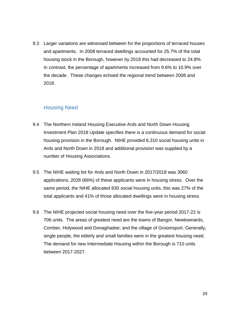9.3 Larger variations are witnessed between for the proportions of terraced houses and apartments. In 2008 terraced dwellings accounted for 25.7% of the total housing stock in the Borough, however by 2018 this had decreased to 24.8%. In contrast, the percentage of apartments increased from 9.6% to 10.9% over the decade. These changes echoed the regional trend between 2008 and 2018.

#### Housing Need

- 9.4 The Northern Ireland Housing Executive Ards and North Down Housing Investment Plan 2018 Update specifies there is a continuous demand for social housing provision in the Borough. NIHE provided 6,310 social housing units in Ards and North Down in 2018 and additional provision was supplied by a number of Housing Associations.
- 9.5 The NIHE waiting list for Ards and North Down in 2017/2018 was 3060 applications, 2028 (66%) of these applicants were in housing stress. Over the same period, the NIHE allocated 830 social housing units, this was 27% of the total applicants and 41% of those allocated dwellings were in housing stress.
- 9.6 The NIHE projected social housing need over the five-year period 2017-22 is 706 units. The areas of greatest need are the towns of Bangor, Newtownards, Comber, Holywood and Donaghadee; and the village of Groomsport. Generally, single people, the elderly and small families were in the greatest housing need. The demand for new Intermediate Housing within the Borough is 710 units between 2017-2027.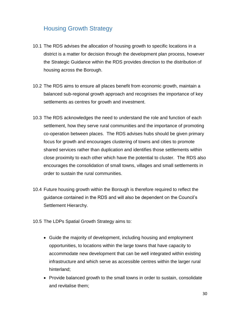## <span id="page-29-0"></span>Housing Growth Strategy

- 10.1 The RDS advises the allocation of housing growth to specific locations in a district is a matter for decision through the development plan process, however the Strategic Guidance within the RDS provides direction to the distribution of housing across the Borough.
- 10.2 The RDS aims to ensure all places benefit from economic growth, maintain a balanced sub-regional growth approach and recognises the importance of key settlements as centres for growth and investment.
- 10.3 The RDS acknowledges the need to understand the role and function of each settlement, how they serve rural communities and the importance of promoting co-operation between places. The RDS advises hubs should be given primary focus for growth and encourages clustering of towns and cities to promote shared services rather than duplication and identifies those settlements within close proximity to each other which have the potential to cluster. The RDS also encourages the consolidation of small towns, villages and small settlements in order to sustain the rural communities.
- 10.4 Future housing growth within the Borough is therefore required to reflect the guidance contained in the RDS and will also be dependent on the Council's Settlement Hierarchy.
- 10.5 The LDPs Spatial Growth Strategy aims to:
	- Guide the majority of development, including housing and employment opportunities, to locations within the large towns that have capacity to accommodate new development that can be well integrated within existing infrastructure and which serve as accessible centres within the larger rural hinterland;
	- Provide balanced growth to the small towns in order to sustain, consolidate and revitalise them;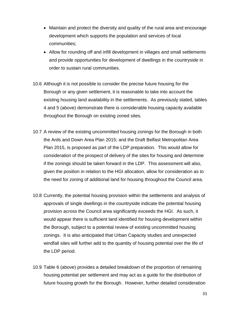- Maintain and protect the diversity and quality of the rural area and encourage development which supports the population and services of local communities;
- Allow for rounding off and infill development in villages and small settlements and provide opportunities for development of dwellings in the countryside in order to sustain rural communities.
- 10.6 Although it is not possible to consider the precise future housing for the Borough or any given settlement, it is reasonable to take into account the existing housing land availability in the settlements. As previously stated, tables 4 and 5 (above) demonstrate there is considerable housing capacity available throughout the Borough on existing zoned sites.
- 10.7 A review of the existing uncommitted housing zonings for the Borough in both the Ards and Down Area Plan 2015; and the Draft Belfast Metropolitan Area Plan 2015, is proposed as part of the LDP preparation. This would allow for consideration of the prospect of delivery of the sites for housing and determine if the zonings should be taken forward in the LDP. This assessment will also, given the position in relation to the HGI allocation, allow for consideration as to the need for zoning of additional land for housing throughout the Council area.
- 10.8 Currently, the potential housing provision within the settlements and analysis of approvals of single dwellings in the countryside indicate the potential housing provision across the Council area significantly exceeds the HGI. As such, it would appear there is sufficient land identified for housing development within the Borough, subject to a potential review of existing uncommitted housing zonings. It is also anticipated that Urban Capacity studies and unexpected windfall sites will further add to the quantity of housing potential over the life of the LDP period.
- 10.9 Table 6 (above) provides a detailed breakdown of the proportion of remaining housing potential per settlement and may act as a guide for the distribution of future housing growth for the Borough. However, further detailed consideration